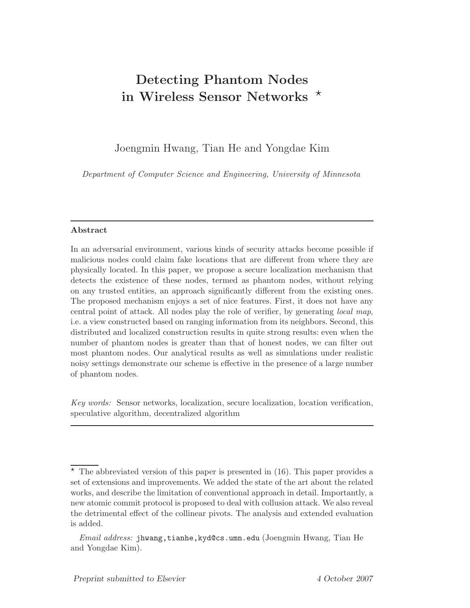# Detecting Phantom Nodes in Wireless Sensor Networks  $\star$

Joengmin Hwang, Tian He and Yongdae Kim

Department of Computer Science and Engineering, University of Minnesota

# Abstract

In an adversarial environment, various kinds of security attacks become possible if malicious nodes could claim fake locations that are different from where they are physically located. In this paper, we propose a secure localization mechanism that detects the existence of these nodes, termed as phantom nodes, without relying on any trusted entities, an approach significantly different from the existing ones. The proposed mechanism enjoys a set of nice features. First, it does not have any central point of attack. All nodes play the role of verifier, by generating local map, i.e. a view constructed based on ranging information from its neighbors. Second, this distributed and localized construction results in quite strong results: even when the number of phantom nodes is greater than that of honest nodes, we can filter out most phantom nodes. Our analytical results as well as simulations under realistic noisy settings demonstrate our scheme is effective in the presence of a large number of phantom nodes.

Key words: Sensor networks, localization, secure localization, location verification, speculative algorithm, decentralized algorithm

 $\star$  The abbreviated version of this paper is presented in (16). This paper provides a set of extensions and improvements. We added the state of the art about the related works, and describe the limitation of conventional approach in detail. Importantly, a new atomic commit protocol is proposed to deal with collusion attack. We also reveal the detrimental effect of the collinear pivots. The analysis and extended evaluation is added.

*Email address:* jhwang,tianhe,kyd@cs.umn.edu (Joengmin Hwang, Tian He and Yongdae Kim).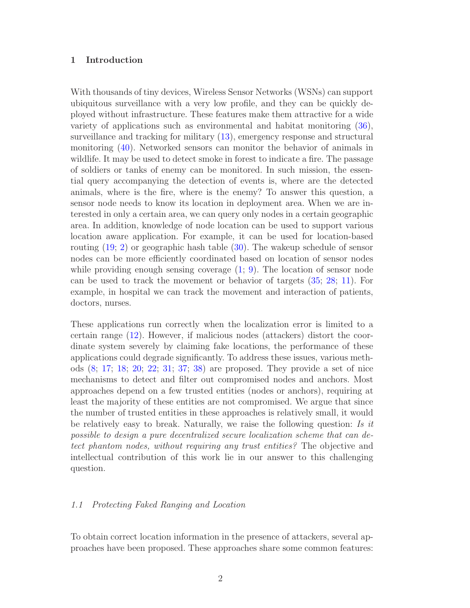#### 1 Introduction

With thousands of tiny devices, Wireless Sensor Networks (WSNs) can support ubiquitous surveillance with a very low profile, and they can be quickly deployed without infrastructure. These features make them attractive for a wide variety of applications such as environmental and habitat monitoring [\(36\)](#page-31-0), surveillance and tracking for military [\(13](#page-30-0)), emergency response and structural monitoring [\(40\)](#page-31-1). Networked sensors can monitor the behavior of animals in wildlife. It may be used to detect smoke in forest to indicate a fire. The passage of soldiers or tanks of enemy can be monitored. In such mission, the essential query accompanying the detection of events is, where are the detected animals, where is the fire, where is the enemy? To answer this question, a sensor node needs to know its location in deployment area. When we are interested in only a certain area, we can query only nodes in a certain geographic area. In addition, knowledge of node location can be used to support various location aware application. For example, it can be used for location-based routing [\(19](#page-30-1); [2](#page-29-0)) or geographic hash table [\(30](#page-31-2)). The wakeup schedule of sensor nodes can be more efficiently coordinated based on location of sensor nodes while providing enough sensing coverage  $(1, 9)$  $(1, 9)$ . The location of sensor node can be used to track the movement or behavior of targets [\(35](#page-31-3); [28](#page-30-3); [11\)](#page-30-4). For example, in hospital we can track the movement and interaction of patients, doctors, nurses.

These applications run correctly when the localization error is limited to a certain range [\(12\)](#page-30-5). However, if malicious nodes (attackers) distort the coordinate system severely by claiming fake locations, the performance of these applications could degrade significantly. To address these issues, various methods [\(8;](#page-30-6) [17](#page-30-7); [18](#page-30-8); [20](#page-30-9); [22](#page-30-10); [31](#page-31-4); [37;](#page-31-5) [38\)](#page-31-6) are proposed. They provide a set of nice mechanisms to detect and filter out compromised nodes and anchors. Most approaches depend on a few trusted entities (nodes or anchors), requiring at least the majority of these entities are not compromised. We argue that since the number of trusted entities in these approaches is relatively small, it would be relatively easy to break. Naturally, we raise the following question: Is it possible to design a pure decentralized secure localization scheme that can detect phantom nodes, without requiring any trust entities? The objective and intellectual contribution of this work lie in our answer to this challenging question.

#### 1.1 Protecting Faked Ranging and Location

To obtain correct location information in the presence of attackers, several approaches have been proposed. These approaches share some common features: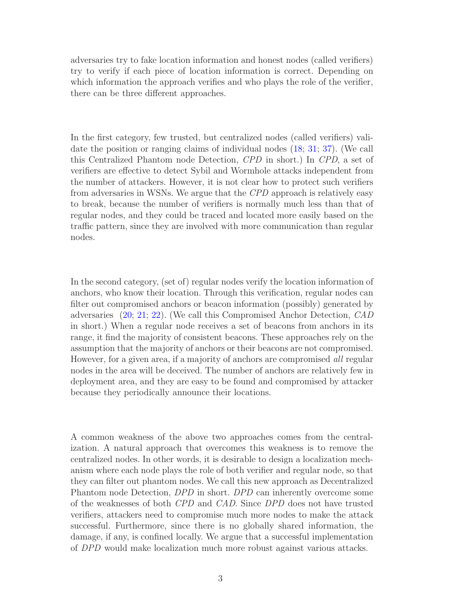adversaries try to fake location information and honest nodes (called verifiers) try to verify if each piece of location information is correct. Depending on which information the approach verifies and who plays the role of the verifier, there can be three different approaches.

In the first category, few trusted, but centralized nodes (called verifiers) validate the position or ranging claims of individual nodes [\(18](#page-30-8); [31](#page-31-4); [37](#page-31-5)). (We call this Centralized Phantom node Detection, CPD in short.) In CPD, a set of verifiers are effective to detect Sybil and Wormhole attacks independent from the number of attackers. However, it is not clear how to protect such verifiers from adversaries in WSNs. We argue that the CPD approach is relatively easy to break, because the number of verifiers is normally much less than that of regular nodes, and they could be traced and located more easily based on the traffic pattern, since they are involved with more communication than regular nodes.

In the second category, (set of) regular nodes verify the location information of anchors, who know their location. Through this verification, regular nodes can filter out compromised anchors or beacon information (possibly) generated by adversaries [\(20;](#page-30-9) [21;](#page-30-11) [22](#page-30-10)). (We call this Compromised Anchor Detection, CAD in short.) When a regular node receives a set of beacons from anchors in its range, it find the majority of consistent beacons. These approaches rely on the assumption that the majority of anchors or their beacons are not compromised. However, for a given area, if a majority of anchors are compromised all regular nodes in the area will be deceived. The number of anchors are relatively few in deployment area, and they are easy to be found and compromised by attacker because they periodically announce their locations.

A common weakness of the above two approaches comes from the centralization. A natural approach that overcomes this weakness is to remove the centralized nodes. In other words, it is desirable to design a localization mechanism where each node plays the role of both verifier and regular node, so that they can filter out phantom nodes. We call this new approach as Decentralized Phantom node Detection, DPD in short. DPD can inherently overcome some of the weaknesses of both CPD and CAD. Since DPD does not have trusted verifiers, attackers need to compromise much more nodes to make the attack successful. Furthermore, since there is no globally shared information, the damage, if any, is confined locally. We argue that a successful implementation of DPD would make localization much more robust against various attacks.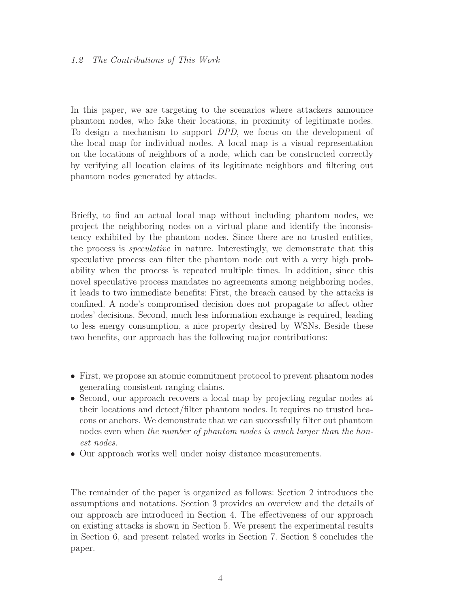# 1.2 The Contributions of This Work

In this paper, we are targeting to the scenarios where attackers announce phantom nodes, who fake their locations, in proximity of legitimate nodes. To design a mechanism to support DPD, we focus on the development of the local map for individual nodes. A local map is a visual representation on the locations of neighbors of a node, which can be constructed correctly by verifying all location claims of its legitimate neighbors and filtering out phantom nodes generated by attacks.

Briefly, to find an actual local map without including phantom nodes, we project the neighboring nodes on a virtual plane and identify the inconsistency exhibited by the phantom nodes. Since there are no trusted entities, the process is speculative in nature. Interestingly, we demonstrate that this speculative process can filter the phantom node out with a very high probability when the process is repeated multiple times. In addition, since this novel speculative process mandates no agreements among neighboring nodes, it leads to two immediate benefits: First, the breach caused by the attacks is confined. A node's compromised decision does not propagate to affect other nodes' decisions. Second, much less information exchange is required, leading to less energy consumption, a nice property desired by WSNs. Beside these two benefits, our approach has the following major contributions:

- First, we propose an atomic commitment protocol to prevent phantom nodes generating consistent ranging claims.
- Second, our approach recovers a local map by projecting regular nodes at their locations and detect/filter phantom nodes. It requires no trusted beacons or anchors. We demonstrate that we can successfully filter out phantom nodes even when the number of phantom nodes is much larger than the honest nodes.
- Our approach works well under noisy distance measurements.

The remainder of the paper is organized as follows: Section 2 introduces the assumptions and notations. Section 3 provides an overview and the details of our approach are introduced in Section 4. The effectiveness of our approach on existing attacks is shown in Section 5. We present the experimental results in Section 6, and present related works in Section 7. Section 8 concludes the paper.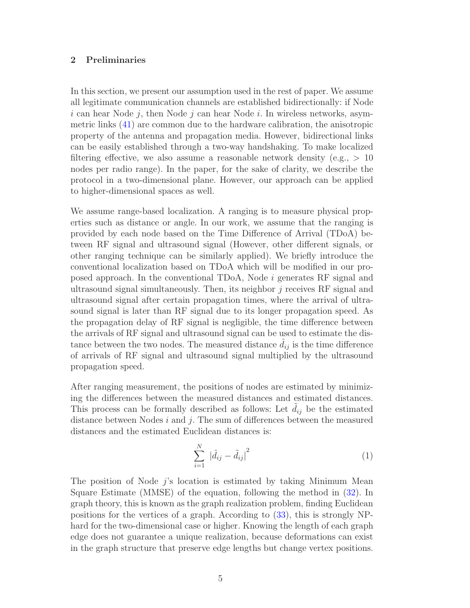## 2 Preliminaries

In this section, we present our assumption used in the rest of paper. We assume all legitimate communication channels are established bidirectionally: if Node i can hear Node j, then Node j can hear Node i. In wireless networks, asymmetric links [\(41](#page-31-7)) are common due to the hardware calibration, the anisotropic property of the antenna and propagation media. However, bidirectional links can be easily established through a two-way handshaking. To make localized filtering effective, we also assume a reasonable network density (e.g.,  $> 10$ ) nodes per radio range). In the paper, for the sake of clarity, we describe the protocol in a two-dimensional plane. However, our approach can be applied to higher-dimensional spaces as well.

We assume range-based localization. A ranging is to measure physical properties such as distance or angle. In our work, we assume that the ranging is provided by each node based on the Time Difference of Arrival (TDoA) between RF signal and ultrasound signal (However, other different signals, or other ranging technique can be similarly applied). We briefly introduce the conventional localization based on TDoA which will be modified in our proposed approach. In the conventional TDoA, Node i generates RF signal and ultrasound signal simultaneously. Then, its neighbor  $j$  receives RF signal and ultrasound signal after certain propagation times, where the arrival of ultrasound signal is later than RF signal due to its longer propagation speed. As the propagation delay of RF signal is negligible, the time difference between the arrivals of RF signal and ultrasound signal can be used to estimate the distance between the two nodes. The measured distance  $d_{ij}$  is the time difference of arrivals of RF signal and ultrasound signal multiplied by the ultrasound propagation speed.

After ranging measurement, the positions of nodes are estimated by minimizing the differences between the measured distances and estimated distances. This process can be formally described as follows: Let  $d_{ij}$  be the estimated distance between Nodes  $i$  and  $j$ . The sum of differences between the measured distances and the estimated Euclidean distances is:

$$
\sum_{i=1}^{N} |\hat{d}_{ij} - \tilde{d}_{ij}|^{2}
$$
 (1)

The position of Node  $j$ 's location is estimated by taking Minimum Mean Square Estimate (MMSE) of the equation, following the method in [\(32](#page-31-8)). In graph theory, this is known as the graph realization problem, finding Euclidean positions for the vertices of a graph. According to [\(33](#page-31-9)), this is strongly NPhard for the two-dimensional case or higher. Knowing the length of each graph edge does not guarantee a unique realization, because deformations can exist in the graph structure that preserve edge lengths but change vertex positions.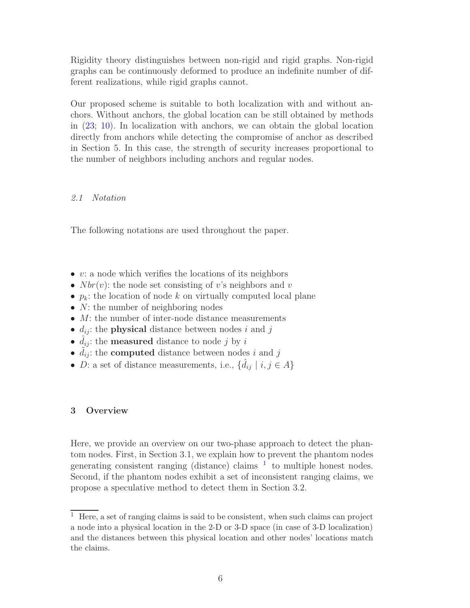Rigidity theory distinguishes between non-rigid and rigid graphs. Non-rigid graphs can be continuously deformed to produce an indefinite number of different realizations, while rigid graphs cannot.

Our proposed scheme is suitable to both localization with and without anchors. Without anchors, the global location can be still obtained by methods in [\(23](#page-30-12); [10](#page-30-13)). In localization with anchors, we can obtain the global location directly from anchors while detecting the compromise of anchor as described in Section 5. In this case, the strength of security increases proportional to the number of neighbors including anchors and regular nodes.

# 2.1 Notation

The following notations are used throughout the paper.

- $\bullet$  v: a node which verifies the locations of its neighbors
- $Nbr(v)$ : the node set consisting of v's neighbors and v
- $p_k$ : the location of node k on virtually computed local plane
- $N$ : the number of neighboring nodes
- $M$ : the number of inter-node distance measurements
- $d_{ij}$ : the **physical** distance between nodes i and j
- $\hat{d}_{ij}$ : the **measured** distance to node j by i
- $\tilde{d}_{ij}$ : the **computed** distance between nodes i and j
- *D*: a set of distance measurements, i.e.,  $\{\hat{d}_{ij} \mid i, j \in A\}$

# 3 Overview

Here, we provide an overview on our two-phase approach to detect the phantom nodes. First, in Section 3.1, we explain how to prevent the phantom nodes generating consistent ranging (distance) claims  $\frac{1}{1}$  $\frac{1}{1}$  $\frac{1}{1}$  to multiple honest nodes. Second, if the phantom nodes exhibit a set of inconsistent ranging claims, we propose a speculative method to detect them in Section 3.2.

<span id="page-5-0"></span> $1$  Here, a set of ranging claims is said to be consistent, when such claims can project a node into a physical location in the 2-D or 3-D space (in case of 3-D localization) and the distances between this physical location and other nodes' locations match the claims.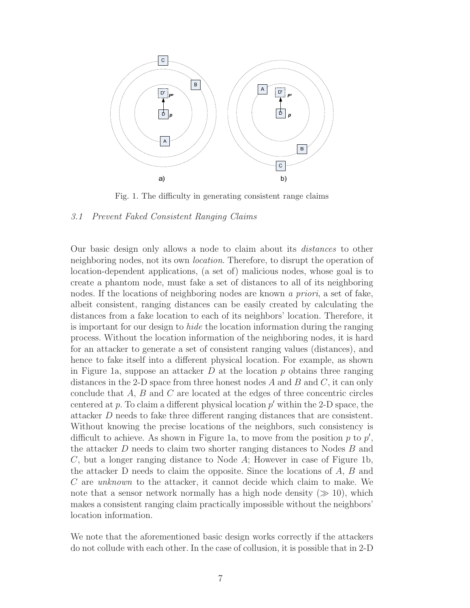

Fig. 1. The difficulty in generating consistent range claims

#### 3.1 Prevent Faked Consistent Ranging Claims

Our basic design only allows a node to claim about its distances to other neighboring nodes, not its own location. Therefore, to disrupt the operation of location-dependent applications, (a set of) malicious nodes, whose goal is to create a phantom node, must fake a set of distances to all of its neighboring nodes. If the locations of neighboring nodes are known a priori, a set of fake, albeit consistent, ranging distances can be easily created by calculating the distances from a fake location to each of its neighbors' location. Therefore, it is important for our design to hide the location information during the ranging process. Without the location information of the neighboring nodes, it is hard for an attacker to generate a set of consistent ranging values (distances), and hence to fake itself into a different physical location. For example, as shown in Figure 1a, suppose an attacker  $D$  at the location  $p$  obtains three ranging distances in the 2-D space from three honest nodes A and B and C, it can only conclude that  $A, B$  and  $C$  are located at the edges of three concentric circles centered at  $p$ . To claim a different physical location  $p'$  within the 2-D space, the attacker D needs to fake three different ranging distances that are consistent. Without knowing the precise locations of the neighbors, such consistency is difficult to achieve. As shown in Figure 1a, to move from the position  $p$  to  $p'$ , the attacker D needs to claim two shorter ranging distances to Nodes B and C, but a longer ranging distance to Node  $A$ ; However in case of Figure 1b, the attacker D needs to claim the opposite. Since the locations of A, B and C are unknown to the attacker, it cannot decide which claim to make. We note that a sensor network normally has a high node density  $(\gg 10)$ , which makes a consistent ranging claim practically impossible without the neighbors' location information.

We note that the aforementioned basic design works correctly if the attackers do not collude with each other. In the case of collusion, it is possible that in 2-D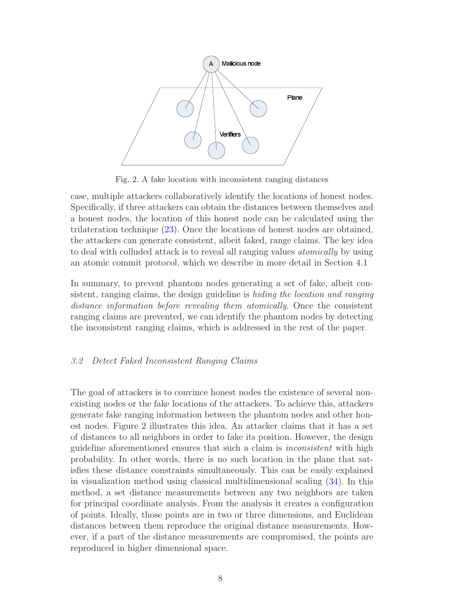

Fig. 2. A fake location with inconsistent ranging distances

case, multiple attackers collaboratively identify the locations of honest nodes. Specifically, if three attackers can obtain the distances between themselves and a honest nodes, the location of this honest node can be calculated using the trilateration technique [\(23](#page-30-12)). Once the locations of honest nodes are obtained, the attackers can generate consistent, albeit faked, range claims. The key idea to deal with colluded attack is to reveal all ranging values atomically by using an atomic commit protocol, which we describe in more detail in Section 4.1

In summary, to prevent phantom nodes generating a set of fake, albeit consistent, ranging claims, the design guideline is hiding the location and ranging distance information before revealing them atomically. Once the consistent ranging claims are prevented, we can identify the phantom nodes by detecting the inconsistent ranging claims, which is addressed in the rest of the paper.

# 3.2 Detect Faked Inconsistent Ranging Claims

The goal of attackers is to convince honest nodes the existence of several nonexisting nodes or the fake locations of the attackers. To achieve this, attackers generate fake ranging information between the phantom nodes and other honest nodes. Figure 2 illustrates this idea. An attacker claims that it has a set of distances to all neighbors in order to fake its position. However, the design guideline aforementioned ensures that such a claim is inconsistent with high probability. In other words, there is no such location in the plane that satisfies these distance constraints simultaneously. This can be easily explained in visualization method using classical multidimensional scaling [\(34\)](#page-31-10). In this method, a set distance measurements between any two neighbors are taken for principal coordinate analysis. From the analysis it creates a configuration of points. Ideally, those points are in two or three dimensions, and Euclidean distances between them reproduce the original distance measurements. However, if a part of the distance measurements are compromised, the points are reproduced in higher dimensional space.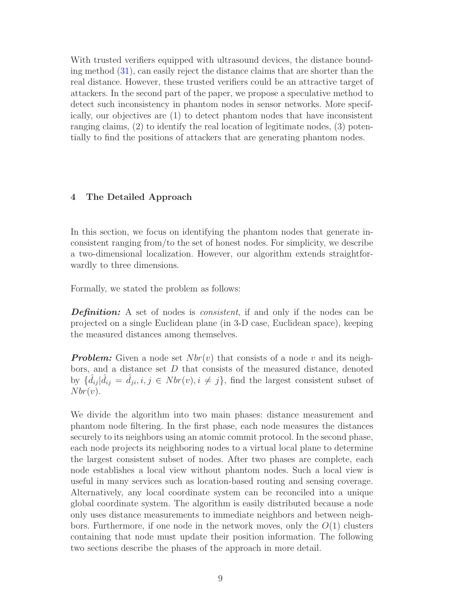With trusted verifiers equipped with ultrasound devices, the distance bounding method [\(31\)](#page-31-4), can easily reject the distance claims that are shorter than the real distance. However, these trusted verifiers could be an attractive target of attackers. In the second part of the paper, we propose a speculative method to detect such inconsistency in phantom nodes in sensor networks. More specifically, our objectives are (1) to detect phantom nodes that have inconsistent ranging claims, (2) to identify the real location of legitimate nodes, (3) potentially to find the positions of attackers that are generating phantom nodes.

## 4 The Detailed Approach

In this section, we focus on identifying the phantom nodes that generate inconsistent ranging from/to the set of honest nodes. For simplicity, we describe a two-dimensional localization. However, our algorithm extends straightforwardly to three dimensions.

Formally, we stated the problem as follows:

**Definition:** A set of nodes is *consistent*, if and only if the nodes can be projected on a single Euclidean plane (in 3-D case, Euclidean space), keeping the measured distances among themselves.

**Problem:** Given a node set  $Nbr(v)$  that consists of a node v and its neighbors, and a distance set D that consists of the measured distance, denoted by  $\{\hat{d}_{ij}|\hat{d}_{ij} = \hat{d}_{ji}, i, j \in Nbr(v), i \neq j\}$ , find the largest consistent subset of  $Nbr(v).$ 

We divide the algorithm into two main phases: distance measurement and phantom node filtering. In the first phase, each node measures the distances securely to its neighbors using an atomic commit protocol. In the second phase, each node projects its neighboring nodes to a virtual local plane to determine the largest consistent subset of nodes. After two phases are complete, each node establishes a local view without phantom nodes. Such a local view is useful in many services such as location-based routing and sensing coverage. Alternatively, any local coordinate system can be reconciled into a unique global coordinate system. The algorithm is easily distributed because a node only uses distance measurements to immediate neighbors and between neighbors. Furthermore, if one node in the network moves, only the  $O(1)$  clusters containing that node must update their position information. The following two sections describe the phases of the approach in more detail.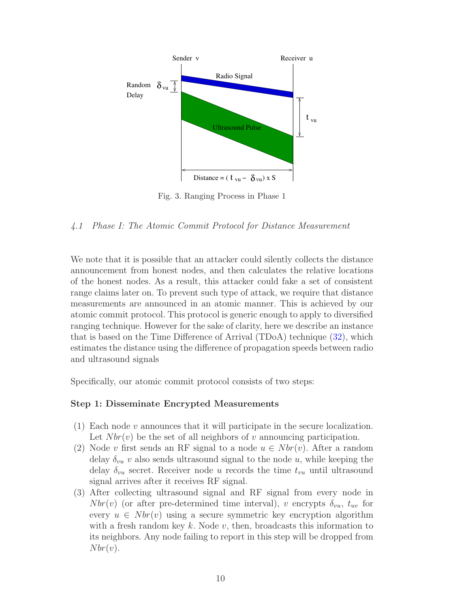

Fig. 3. Ranging Process in Phase 1

4.1 Phase I: The Atomic Commit Protocol for Distance Measurement

We note that it is possible that an attacker could silently collects the distance announcement from honest nodes, and then calculates the relative locations of the honest nodes. As a result, this attacker could fake a set of consistent range claims later on. To prevent such type of attack, we require that distance measurements are announced in an atomic manner. This is achieved by our atomic commit protocol. This protocol is generic enough to apply to diversified ranging technique. However for the sake of clarity, here we describe an instance that is based on the Time Difference of Arrival (TDoA) technique [\(32\)](#page-31-8), which estimates the distance using the difference of propagation speeds between radio and ultrasound signals

Specifically, our atomic commit protocol consists of two steps:

# Step 1: Disseminate Encrypted Measurements

- (1) Each node v announces that it will participate in the secure localization. Let  $Nbr(v)$  be the set of all neighbors of v announcing participation.
- (2) Node v first sends an RF signal to a node  $u \in Nbr(v)$ . After a random delay  $\delta_{vu}$  v also sends ultrasound signal to the node u, while keeping the delay  $\delta_{vu}$  secret. Receiver node u records the time  $t_{vu}$  until ultrasound signal arrives after it receives RF signal.
- (3) After collecting ultrasound signal and RF signal from every node in  $Nbr(v)$  (or after pre-determined time interval), v encrypts  $\delta_{vu}$ ,  $t_{uv}$  for every  $u \in Nbr(v)$  using a secure symmetric key encryption algorithm with a fresh random key  $k$ . Node  $v$ , then, broadcasts this information to its neighbors. Any node failing to report in this step will be dropped from  $Nbr(v).$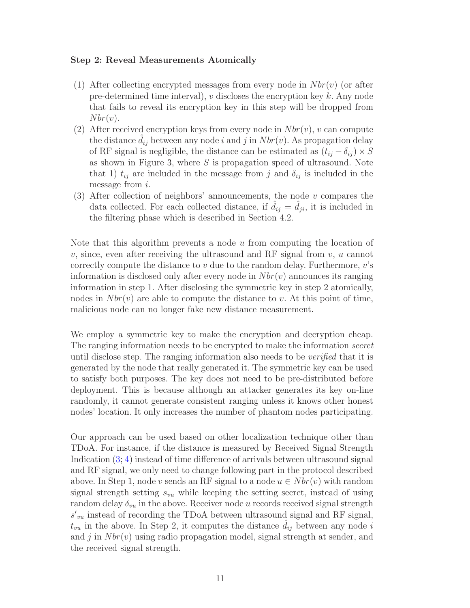## Step 2: Reveal Measurements Atomically

- (1) After collecting encrypted messages from every node in  $Nbr(v)$  (or after pre-determined time interval),  $v$  discloses the encryption key  $k$ . Any node that fails to reveal its encryption key in this step will be dropped from  $Nbr(v).$
- (2) After received encryption keys from every node in  $Nbr(v)$ , v can compute the distance  $d_{ij}$  between any node i and j in  $Nbr(v)$ . As propagation delay of RF signal is negligible, the distance can be estimated as  $(t_{ij} - \delta_{ij}) \times S$ as shown in Figure 3, where S is propagation speed of ultrasound. Note that 1)  $t_{ij}$  are included in the message from j and  $\delta_{ij}$  is included in the message from i.
- (3) After collection of neighbors' announcements, the node  $v$  compares the data collected. For each collected distance, if  $\hat{d}_{ij} = \hat{d}_{ji}$ , it is included in the filtering phase which is described in Section 4.2.

Note that this algorithm prevents a node  $u$  from computing the location of  $v$ , since, even after receiving the ultrasound and RF signal from  $v, u$  cannot correctly compute the distance to  $v$  due to the random delay. Furthermore,  $v$ 's information is disclosed only after every node in  $Nbr(v)$  announces its ranging information in step 1. After disclosing the symmetric key in step 2 atomically, nodes in  $Nbr(v)$  are able to compute the distance to v. At this point of time, malicious node can no longer fake new distance measurement.

We employ a symmetric key to make the encryption and decryption cheap. The ranging information needs to be encrypted to make the information secret until disclose step. The ranging information also needs to be verified that it is generated by the node that really generated it. The symmetric key can be used to satisfy both purposes. The key does not need to be pre-distributed before deployment. This is because although an attacker generates its key on-line randomly, it cannot generate consistent ranging unless it knows other honest nodes' location. It only increases the number of phantom nodes participating.

Our approach can be used based on other localization technique other than TDoA. For instance, if the distance is measured by Received Signal Strength Indication [\(3;](#page-29-2) [4](#page-29-3)) instead of time difference of arrivals between ultrasound signal and RF signal, we only need to change following part in the protocol described above. In Step 1, node v sends an RF signal to a node  $u \in Nbr(v)$  with random signal strength setting  $s_{vu}$  while keeping the setting secret, instead of using random delay  $\delta_{vu}$  in the above. Receiver node u records received signal strength  $s'_{vu}$  instead of recording the TDoA between ultrasound signal and RF signal,  $t_{vu}$  in the above. In Step 2, it computes the distance  $d_{ij}$  between any node i and j in  $Nbr(v)$  using radio propagation model, signal strength at sender, and the received signal strength.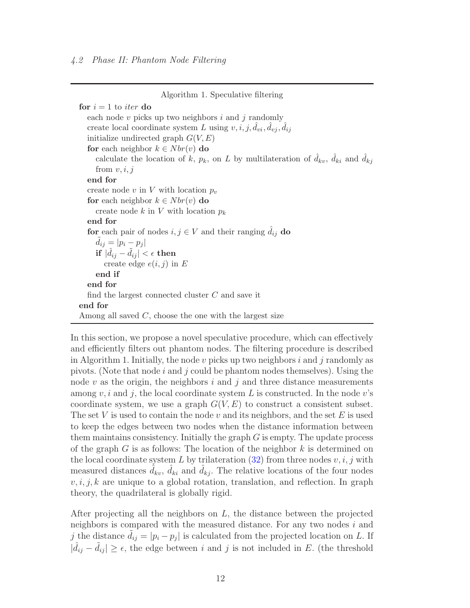```
Algorithm 1. Speculative filtering
for i = 1 to iter do
  each node v picks up two neighbors i and j randomly
   create local coordinate system L using v, i, j, \hat{d}_{vi}, \hat{d}_{vj}, \hat{d}_{ij}initialize undirected graph G(V, E)for each neighbor k \in Nbr(v) do
     calculate the location of k, p_k, on L by multilateration of \hat{d}_{kv}, \hat{d}_{ki} and \hat{d}_{kj}from v, i, jend for
  create node v in V with location p_vfor each neighbor k \in Nbr(v) do
     create node k in V with location p_kend for
  for each pair of nodes i, j \in V and their ranging d_{ij} do
     d_{ij} = |p_i - p_j|if |\hat{d}_{ij} - \tilde{d}_{ij}| < \epsilon then
       create edge e(i, j) in E
     end if
  end for
  find the largest connected cluster C and save it
end for
Among all saved C, choose the one with the largest size
```
In this section, we propose a novel speculative procedure, which can effectively and efficiently filters out phantom nodes. The filtering procedure is described in Algorithm 1. Initially, the node v picks up two neighbors i and j randomly as pivots. (Note that node  $i$  and  $j$  could be phantom nodes themselves). Using the node v as the origin, the neighbors i and j and three distance measurements among v, i and j, the local coordinate system L is constructed. In the node v's coordinate system, we use a graph  $G(V, E)$  to construct a consistent subset. The set V is used to contain the node v and its neighbors, and the set E is used to keep the edges between two nodes when the distance information between them maintains consistency. Initially the graph  $G$  is empty. The update process of the graph  $G$  is as follows: The location of the neighbor  $k$  is determined on the local coordinate system L by trilateration [\(32\)](#page-31-8) from three nodes  $v, i, j$  with measured distances  $\hat{d}_{kv}$ ,  $\hat{d}_{ki}$  and  $\hat{d}_{kj}$ . The relative locations of the four nodes  $v, i, j, k$  are unique to a global rotation, translation, and reflection. In graph theory, the quadrilateral is globally rigid.

After projecting all the neighbors on  $L$ , the distance between the projected neighbors is compared with the measured distance. For any two nodes  $i$  and j the distance  $\tilde{d}_{ij} = |p_i - p_j|$  is calculated from the projected location on L. If  $|\hat{d}_{ij} - \tilde{d}_{ij}| \geq \epsilon$ , the edge between i and j is not included in E. (the threshold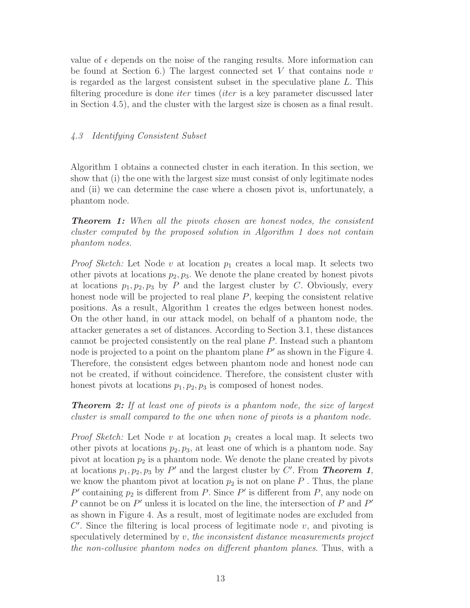value of  $\epsilon$  depends on the noise of the ranging results. More information can be found at Section 6.) The largest connected set  $V$  that contains node  $v$ is regarded as the largest consistent subset in the speculative plane L. This filtering procedure is done iter times (iter is a key parameter discussed later in Section 4.5), and the cluster with the largest size is chosen as a final result.

#### 4.3 Identifying Consistent Subset

Algorithm 1 obtains a connected cluster in each iteration. In this section, we show that (i) the one with the largest size must consist of only legitimate nodes and (ii) we can determine the case where a chosen pivot is, unfortunately, a phantom node.

**Theorem 1:** When all the pivots chosen are honest nodes, the consistent cluster computed by the proposed solution in Algorithm 1 does not contain phantom nodes.

*Proof Sketch:* Let Node v at location  $p_1$  creates a local map. It selects two other pivots at locations  $p_2, p_3$ . We denote the plane created by honest pivots at locations  $p_1, p_2, p_3$  by P and the largest cluster by C. Obviously, every honest node will be projected to real plane  $P$ , keeping the consistent relative positions. As a result, Algorithm 1 creates the edges between honest nodes. On the other hand, in our attack model, on behalf of a phantom node, the attacker generates a set of distances. According to Section 3.1, these distances cannot be projected consistently on the real plane P. Instead such a phantom node is projected to a point on the phantom plane  $P'$  as shown in the Figure 4. Therefore, the consistent edges between phantom node and honest node can not be created, if without coincidence. Therefore, the consistent cluster with honest pivots at locations  $p_1, p_2, p_3$  is composed of honest nodes.

**Theorem 2:** If at least one of pivots is a phantom node, the size of largest cluster is small compared to the one when none of pivots is a phantom node.

*Proof Sketch:* Let Node v at location  $p_1$  creates a local map. It selects two other pivots at locations  $p_2, p_3$ , at least one of which is a phantom node. Say pivot at location  $p_2$  is a phantom node. We denote the plane created by pivots at locations  $p_1, p_2, p_3$  by P' and the largest cluster by C'. From **Theorem 1**, we know the phantom pivot at location  $p_2$  is not on plane P. Thus, the plane  $P'$  containing  $p_2$  is different from P. Since  $P'$  is different from P, any node on  $P$  cannot be on  $P'$  unless it is located on the line, the intersection of  $P$  and  $P'$ as shown in Figure 4. As a result, most of legitimate nodes are excluded from  $C'$ . Since the filtering is local process of legitimate node  $v$ , and pivoting is speculatively determined by  $v$ , the inconsistent distance measurements project the non-collusive phantom nodes on different phantom planes. Thus, with a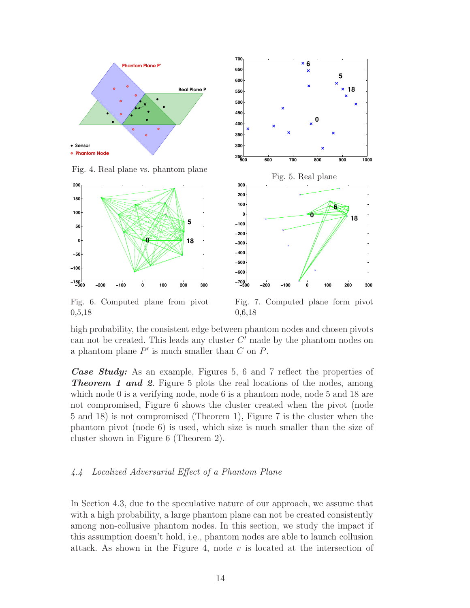

Fig. 4. Real plane vs. phantom plane





Fig. 6. Computed plane from pivot 0,5,18



high probability, the consistent edge between phantom nodes and chosen pivots can not be created. This leads any cluster  $C'$  made by the phantom nodes on a phantom plane  $P'$  is much smaller than  $C$  on  $P$ .

Case Study: As an example, Figures 5, 6 and 7 reflect the properties of **Theorem 1 and 2.** Figure 5 plots the real locations of the nodes, among which node 0 is a verifying node, node 6 is a phantom node, node 5 and 18 are not compromised, Figure 6 shows the cluster created when the pivot (node 5 and 18) is not compromised (Theorem 1), Figure 7 is the cluster when the phantom pivot (node 6) is used, which size is much smaller than the size of cluster shown in Figure 6 (Theorem 2).

#### 4.4 Localized Adversarial Effect of a Phantom Plane

In Section 4.3, due to the speculative nature of our approach, we assume that with a high probability, a large phantom plane can not be created consistently among non-collusive phantom nodes. In this section, we study the impact if this assumption doesn't hold, i.e., phantom nodes are able to launch collusion attack. As shown in the Figure 4, node  $v$  is located at the intersection of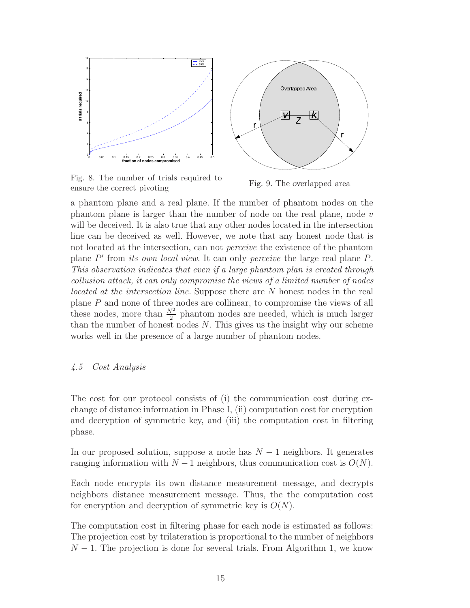

Fig. 8. The number of trials required to Fig. 9. The number of that required to Fig. 9. The overlapped area

a phantom plane and a real plane. If the number of phantom nodes on the phantom plane is larger than the number of node on the real plane, node  $v$ will be deceived. It is also true that any other nodes located in the intersection line can be deceived as well. However, we note that any honest node that is not located at the intersection, can not perceive the existence of the phantom plane P' from its own local view. It can only perceive the large real plane P. This observation indicates that even if a large phantom plan is created through collusion attack, it can only compromise the views of a limited number of nodes located at the intersection line. Suppose there are N honest nodes in the real plane P and none of three nodes are collinear, to compromise the views of all these nodes, more than  $\frac{N^2}{2}$  phantom nodes are needed, which is much larger than the number of honest nodes  $N$ . This gives us the insight why our scheme works well in the presence of a large number of phantom nodes.

## 4.5 Cost Analysis

The cost for our protocol consists of (i) the communication cost during exchange of distance information in Phase I, (ii) computation cost for encryption and decryption of symmetric key, and (iii) the computation cost in filtering phase.

In our proposed solution, suppose a node has  $N-1$  neighbors. It generates ranging information with  $N-1$  neighbors, thus communication cost is  $O(N)$ .

Each node encrypts its own distance measurement message, and decrypts neighbors distance measurement message. Thus, the the computation cost for encryption and decryption of symmetric key is  $O(N)$ .

The computation cost in filtering phase for each node is estimated as follows: The projection cost by trilateration is proportional to the number of neighbors  $N-1$ . The projection is done for several trials. From Algorithm 1, we know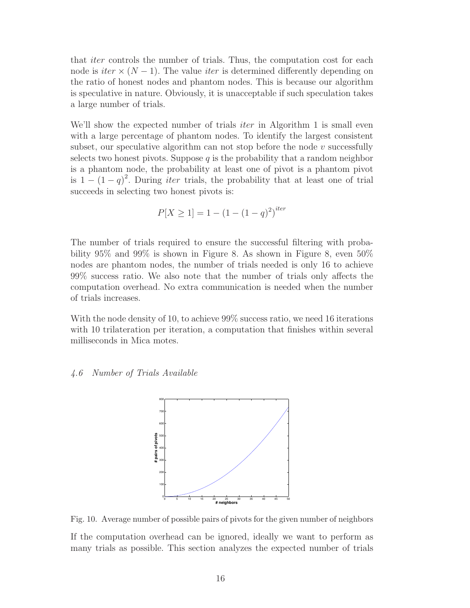that *iter* controls the number of trials. Thus, the computation cost for each node is  $iter \times (N-1)$ . The value *iter* is determined differently depending on the ratio of honest nodes and phantom nodes. This is because our algorithm is speculative in nature. Obviously, it is unacceptable if such speculation takes a large number of trials.

We'll show the expected number of trials *iter* in Algorithm 1 is small even with a large percentage of phantom nodes. To identify the largest consistent subset, our speculative algorithm can not stop before the node  $v$  successfully selects two honest pivots. Suppose  $q$  is the probability that a random neighbor is a phantom node, the probability at least one of pivot is a phantom pivot is  $1 - (1 - q)^2$ . During *iter* trials, the probability that at least one of trial succeeds in selecting two honest pivots is:

$$
P[X \ge 1] = 1 - (1 - (1 - q)^2)^{iter}
$$

The number of trials required to ensure the successful filtering with probability 95% and 99% is shown in Figure 8. As shown in Figure 8, even 50% nodes are phantom nodes, the number of trials needed is only 16 to achieve 99% success ratio. We also note that the number of trials only affects the computation overhead. No extra communication is needed when the number of trials increases.

With the node density of 10, to achieve 99% success ratio, we need 16 iterations with 10 trilateration per iteration, a computation that finishes within several milliseconds in Mica motes.

## 4.6 Number of Trials Available



Fig. 10. Average number of possible pairs of pivots for the given number of neighbors

If the computation overhead can be ignored, ideally we want to perform as many trials as possible. This section analyzes the expected number of trials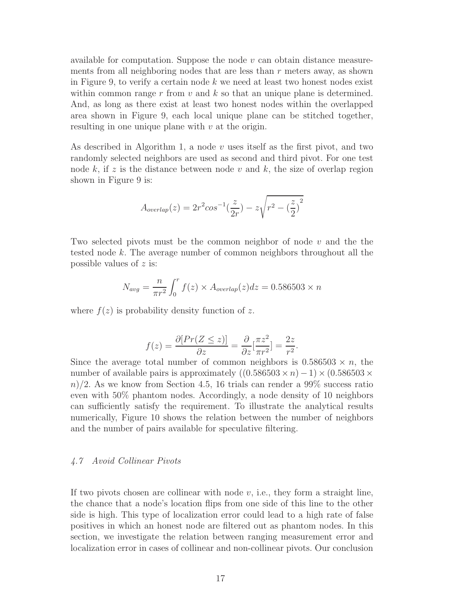available for computation. Suppose the node  $v$  can obtain distance measurements from all neighboring nodes that are less than  $r$  meters away, as shown in Figure 9, to verify a certain node  $k$  we need at least two honest nodes exist within common range  $r$  from  $v$  and  $k$  so that an unique plane is determined. And, as long as there exist at least two honest nodes within the overlapped area shown in Figure 9, each local unique plane can be stitched together, resulting in one unique plane with  $v$  at the origin.

As described in Algorithm 1, a node  $v$  uses itself as the first pivot, and two randomly selected neighbors are used as second and third pivot. For one test node k, if z is the distance between node v and k, the size of overlap region shown in Figure 9 is:

$$
A_{overlap}(z) = 2r^{2}\cos^{-1}(\frac{z}{2r}) - z\sqrt{r^{2} - (\frac{z}{2})^{2}}
$$

Two selected pivots must be the common neighbor of node  $v$  and the the tested node k. The average number of common neighbors throughout all the possible values of z is:

$$
N_{avg} = \frac{n}{\pi r^2} \int_0^r f(z) \times A_{overlap}(z) dz = 0.586503 \times n
$$

where  $f(z)$  is probability density function of z.

$$
f(z) = \frac{\partial [Pr(Z \le z)]}{\partial z} = \frac{\partial}{\partial z} [\frac{\pi z^2}{\pi r^2}] = \frac{2z}{r^2}.
$$

Since the average total number of common neighbors is  $0.586503 \times n$ , the number of available pairs is approximately  $((0.586503 \times n) - 1) \times (0.586503 \times$  $n/2$ . As we know from Section 4.5, 16 trials can render a 99% success ratio even with 50% phantom nodes. Accordingly, a node density of 10 neighbors can sufficiently satisfy the requirement. To illustrate the analytical results numerically, Figure 10 shows the relation between the number of neighbors and the number of pairs available for speculative filtering.

#### 4.7 Avoid Collinear Pivots

If two pivots chosen are collinear with node  $v$ , i.e., they form a straight line, the chance that a node's location flips from one side of this line to the other side is high. This type of localization error could lead to a high rate of false positives in which an honest node are filtered out as phantom nodes. In this section, we investigate the relation between ranging measurement error and localization error in cases of collinear and non-collinear pivots. Our conclusion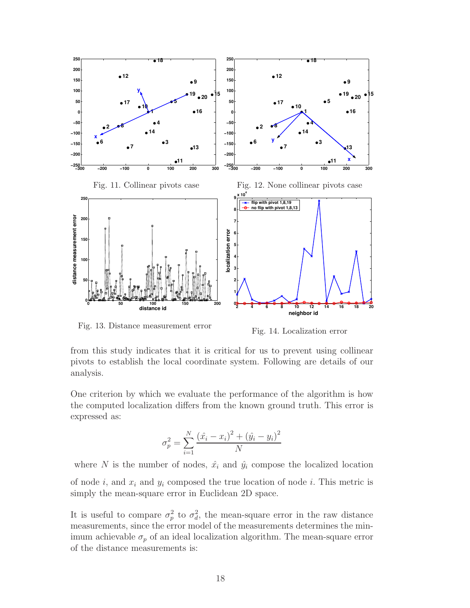

Fig. 13. Distance measurement error

Fig. 14. Localization error

from this study indicates that it is critical for us to prevent using collinear pivots to establish the local coordinate system. Following are details of our analysis.

One criterion by which we evaluate the performance of the algorithm is how the computed localization differs from the known ground truth. This error is expressed as:

$$
\sigma_p^2 = \sum_{i=1}^{N} \frac{(\hat{x}_i - x_i)^2 + (\hat{y}_i - y_i)^2}{N}
$$

where N is the number of nodes,  $\hat{x}_i$  and  $\hat{y}_i$  compose the localized location

of node i, and  $x_i$  and  $y_i$  composed the true location of node i. This metric is simply the mean-square error in Euclidean 2D space.

It is useful to compare  $\sigma_p^2$  to  $\sigma_d^2$ , the mean-square error in the raw distance measurements, since the error model of the measurements determines the minimum achievable  $\sigma_p$  of an ideal localization algorithm. The mean-square error of the distance measurements is: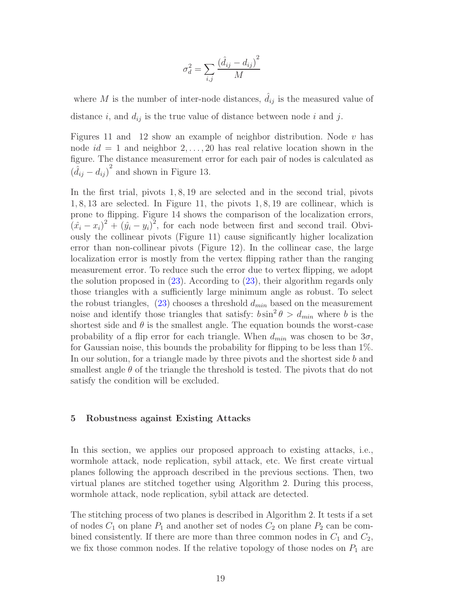$$
\sigma_d^2 = \sum_{i,j} \frac{\left(\hat{d}_{ij} - d_{ij}\right)^2}{M}
$$

where M is the number of inter-node distances,  $\hat{d}_{ij}$  is the measured value of distance i, and  $d_{ij}$  is the true value of distance between node i and j.

Figures 11 and 12 show an example of neighbor distribution. Node  $v$  has node  $id = 1$  and neighbor  $2, \ldots, 20$  has real relative location shown in the figure. The distance measurement error for each pair of nodes is calculated as  $\left(\hat{d}_{ij} - d_{ij}\right)^2$  and shown in Figure 13.

In the first trial, pivots 1, 8, 19 are selected and in the second trial, pivots 1, 8, 13 are selected. In Figure 11, the pivots 1, 8, 19 are collinear, which is prone to flipping. Figure 14 shows the comparison of the localization errors,  $(\hat{x}_i - x_i)^2 + (\hat{y}_i - y_i)^2$ , for each node between first and second trail. Obviously the collinear pivots (Figure 11) cause significantly higher localization error than non-collinear pivots (Figure 12). In the collinear case, the large localization error is mostly from the vertex flipping rather than the ranging measurement error. To reduce such the error due to vertex flipping, we adopt the solution proposed in [\(23\)](#page-30-12). According to [\(23\)](#page-30-12), their algorithm regards only those triangles with a sufficiently large minimum angle as robust. To select the robust triangles,  $(23)$  $(23)$  chooses a threshold  $d_{min}$  based on the measurement noise and identify those triangles that satisfy:  $b \sin^2 \theta > d_{min}$  where b is the shortest side and  $\theta$  is the smallest angle. The equation bounds the worst-case probability of a flip error for each triangle. When  $d_{min}$  was chosen to be  $3\sigma$ , for Gaussian noise, this bounds the probability for flipping to be less than 1%. In our solution, for a triangle made by three pivots and the shortest side b and smallest angle  $\theta$  of the triangle the threshold is tested. The pivots that do not satisfy the condition will be excluded.

## 5 Robustness against Existing Attacks

In this section, we applies our proposed approach to existing attacks, i.e., wormhole attack, node replication, sybil attack, etc. We first create virtual planes following the approach described in the previous sections. Then, two virtual planes are stitched together using Algorithm 2. During this process, wormhole attack, node replication, sybil attack are detected.

The stitching process of two planes is described in Algorithm 2. It tests if a set of nodes  $C_1$  on plane  $P_1$  and another set of nodes  $C_2$  on plane  $P_2$  can be combined consistently. If there are more than three common nodes in  $C_1$  and  $C_2$ , we fix those common nodes. If the relative topology of those nodes on  $P_1$  are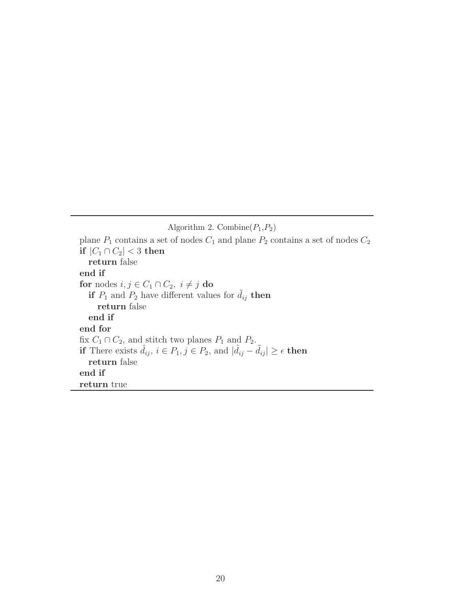Algorithm 2. Combine $(P_1, P_2)$ 

plane  $P_1$  contains a set of nodes  $C_1$  and plane  $P_2$  contains a set of nodes  $C_2$ if  $|C_1 \cap C_2| < 3$  then return false end if for nodes  $i, j \in C_1 \cap C_2$ ,  $i \neq j$  do if  $P_1$  and  $P_2$  have different values for  $\tilde{d}_{ij}$  then return false end if end for fix  $C_1 \cap C_2$ , and stitch two planes  $P_1$  and  $P_2$ . **if** There exists  $\hat{d}_{ij}$ ,  $i \in P_1, j \in P_2$ , and  $|\hat{d}_{ij} - \tilde{d}_{ij}| \ge \epsilon$  then return false end if return true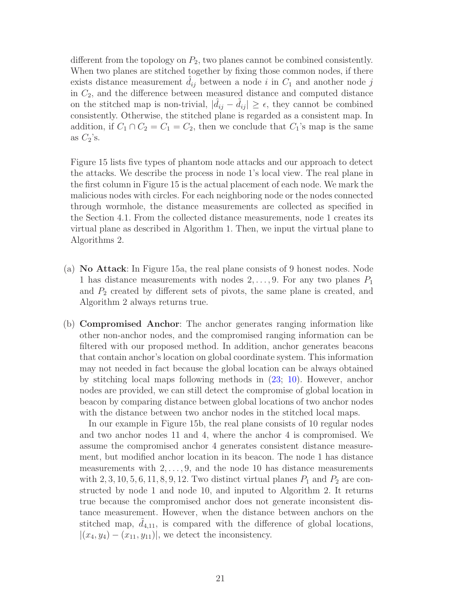different from the topology on  $P_2$ , two planes cannot be combined consistently. When two planes are stitched together by fixing those common nodes, if there exists distance measurement  $d_{ij}$  between a node i in  $C_1$  and another node j in  $C_2$ , and the difference between measured distance and computed distance on the stitched map is non-trivial,  $|\hat{d}_{ij} - \tilde{d}_{ij}| \geq \epsilon$ , they cannot be combined consistently. Otherwise, the stitched plane is regarded as a consistent map. In addition, if  $C_1 \cap C_2 = C_1 = C_2$ , then we conclude that  $C_1$ 's map is the same as  $C_2$ 's.

Figure 15 lists five types of phantom node attacks and our approach to detect the attacks. We describe the process in node 1's local view. The real plane in the first column in Figure 15 is the actual placement of each node. We mark the malicious nodes with circles. For each neighboring node or the nodes connected through wormhole, the distance measurements are collected as specified in the Section 4.1. From the collected distance measurements, node 1 creates its virtual plane as described in Algorithm 1. Then, we input the virtual plane to Algorithms 2.

- (a) No Attack: In Figure 15a, the real plane consists of 9 honest nodes. Node 1 has distance measurements with nodes  $2, \ldots, 9$ . For any two planes  $P_1$ and  $P_2$  created by different sets of pivots, the same plane is created, and Algorithm 2 always returns true.
- (b) Compromised Anchor: The anchor generates ranging information like other non-anchor nodes, and the compromised ranging information can be filtered with our proposed method. In addition, anchor generates beacons that contain anchor's location on global coordinate system. This information may not needed in fact because the global location can be always obtained by stitching local maps following methods in [\(23;](#page-30-12) [10\)](#page-30-13). However, anchor nodes are provided, we can still detect the compromise of global location in beacon by comparing distance between global locations of two anchor nodes with the distance between two anchor nodes in the stitched local maps.

In our example in Figure 15b, the real plane consists of 10 regular nodes and two anchor nodes 11 and 4, where the anchor 4 is compromised. We assume the compromised anchor 4 generates consistent distance measurement, but modified anchor location in its beacon. The node 1 has distance measurements with  $2, \ldots, 9$ , and the node 10 has distance measurements with  $2, 3, 10, 5, 6, 11, 8, 9, 12$ . Two distinct virtual planes  $P_1$  and  $P_2$  are constructed by node 1 and node 10, and inputed to Algorithm 2. It returns true because the compromised anchor does not generate inconsistent distance measurement. However, when the distance between anchors on the stitched map,  $d_{4,11}$ , is compared with the difference of global locations,  $|(x_4, y_4) - (x_{11}, y_{11})|$ , we detect the inconsistency.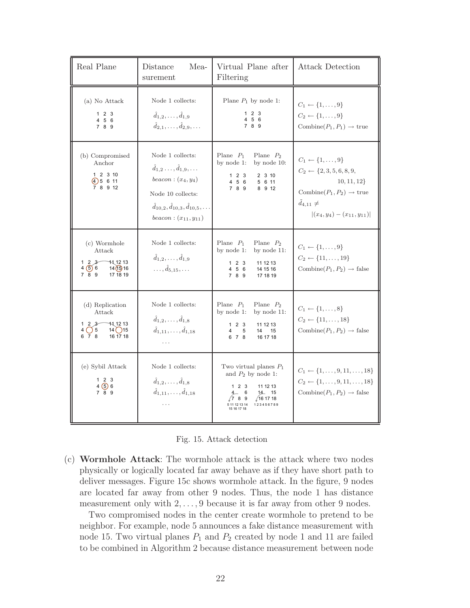| Real Plane                                                                                               | Mea-<br>Distance<br>surement                                                                                                                                                                            | Virtual Plane after<br>Filtering                                                                                                                       | <b>Attack Detection</b>                                                                                                                                                                      |
|----------------------------------------------------------------------------------------------------------|---------------------------------------------------------------------------------------------------------------------------------------------------------------------------------------------------------|--------------------------------------------------------------------------------------------------------------------------------------------------------|----------------------------------------------------------------------------------------------------------------------------------------------------------------------------------------------|
| (a) No Attack<br>123<br>4 5 6<br>7 8 9                                                                   | Node 1 collects:<br>$\hat{d}_{1,2}, \ldots, \hat{d}_{1,9}$<br>$\hat{d}_{2,1}, \ldots, \hat{d}_{2,9}, \ldots$                                                                                            | Plane $P_1$ by node 1:<br>123<br>4 5 6<br>7 8 9                                                                                                        | $C_1 \leftarrow \{1,\ldots,9\}$<br>$C_2 \leftarrow \{1, \ldots, 9\}$<br>Combine $(P_1, P_1) \rightarrow$ true                                                                                |
| (b) Compromised<br>Anchor<br>1 2 3 10<br>$(4)$ 5 6 11<br>7 8 9 12                                        | Node 1 collects:<br>$\hat{d}_{1,2} \ldots, \hat{d}_{1,9} \ldots$<br>$beacon: (x_4, y_4)$<br>Node 10 collects:<br>$\hat{d}_{10,2}, \hat{d}_{10,3}, \hat{d}_{10,5}, \ldots$<br>$beacon: (x_{11}, y_{11})$ | Plane $P_1$<br>Plane $P_2$<br>by node 1:<br>by node $10$ :<br>123<br>2 3 10<br>4 5 6<br>5 6 11<br>7 8 9<br>8 9 12                                      | $C_1 \leftarrow \{1, \ldots, 9\}$<br>$C_2 \leftarrow \{2, 3, 5, 6, 8, 9,$<br>10, 11, 12<br>Combine $(P_1, P_2) \rightarrow$ true<br>$\tilde{d}_{4,11} \neq$<br>$ (x_4,y_4)-(x_{11},y_{11}) $ |
| (c) Wormhole<br>Attack<br>123<br>11 12 13<br>4(5)6<br>14(15)16<br>7 8 9<br>17 18 19                      | Node 1 collects:<br>$\hat{d}_{1,2}, \ldots, \hat{d}_{1,9}$<br>$\ldots, \hat{d}_{5,15}, \ldots$                                                                                                          | Plane $P_1$<br>Plane $P_2$<br>by node 1:<br>by node 11:<br>123<br>11 12 13<br>4 5 6<br>14 15 16<br>7 8 9<br>17 18 19                                   | $C_1 \leftarrow \{1, \ldots, 9\}$<br>$C_2 \leftarrow \{11, \ldots, 19\}$<br>Combine $(P_1, P_2) \rightarrow$ false                                                                           |
| (d) Replication<br>Attack<br>123<br>11 12 13<br>$4\bigcirc 5$<br>$14$ $\bigcirc$ 15<br>6 7 8<br>16 17 18 | Node 1 collects:<br>$\hat{d}_{1,2}, \ldots, \hat{d}_{1,8}$<br>$\hat{d}_{1,11}, \ldots, \hat{d}_{1,18}$<br>.                                                                                             | Plane $P_1$<br>Plane $P_2$<br>by node 1:<br>by node 11:<br>123<br>11 12 13<br>4<br>5<br>14<br>15<br>6 7 8<br>16 17 18                                  | $C_1 \leftarrow \{1,\ldots,8\}$<br>$C_2 \leftarrow \{11, \ldots, 18\}$<br>Combine $(P_1, P_2) \rightarrow$ false                                                                             |
| (e) Sybil Attack<br>$1 \quad 2 \quad 3$<br>4(5)6<br>7 8 9                                                | Node 1 collects:<br>$\hat{d}_{1,2}, \ldots, \hat{d}_{1,8}$<br>$\hat{d}_{1,11}, \ldots, \hat{d}_{1,18}$<br>$\ldots$                                                                                      | Two virtual planes $P_1$<br>and $P_2$ by node 1:<br>123<br>11 12 13<br>$14 - 15$<br>6<br>16 17 18√<br>789<br>5 11 12 13 14<br>123456789<br>15 16 17 18 | $C_1 \leftarrow \{1, \ldots, 9, 11, \ldots, 18\}$<br>$C_2 \leftarrow \{1, \ldots, 9, 11, \ldots, 18\}$<br>Combine $(P_1, P_2) \rightarrow$ false                                             |

Fig. 15. Attack detection

(c) Wormhole Attack: The wormhole attack is the attack where two nodes physically or logically located far away behave as if they have short path to deliver messages. Figure 15c shows wormhole attack. In the figure, 9 nodes are located far away from other 9 nodes. Thus, the node 1 has distance measurement only with  $2, \ldots, 9$  because it is far away from other 9 nodes.

Two compromised nodes in the center create wormhole to pretend to be neighbor. For example, node 5 announces a fake distance measurement with node 15. Two virtual planes  $P_1$  and  $P_2$  created by node 1 and 11 are failed to be combined in Algorithm 2 because distance measurement between node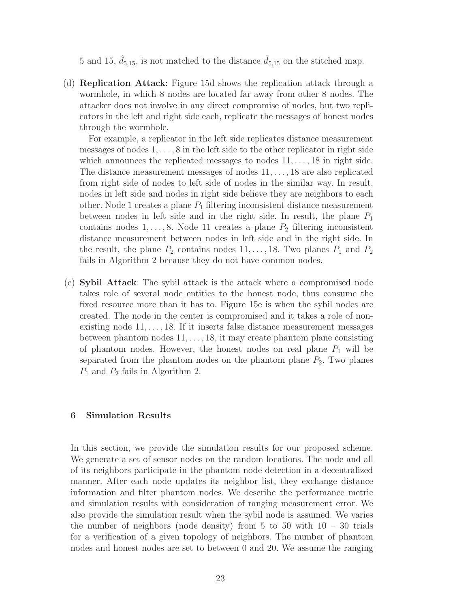5 and 15,  $\hat{d}_{5,15}$ , is not matched to the distance  $\hat{d}_{5,15}$  on the stitched map.

(d) Replication Attack: Figure 15d shows the replication attack through a wormhole, in which 8 nodes are located far away from other 8 nodes. The attacker does not involve in any direct compromise of nodes, but two replicators in the left and right side each, replicate the messages of honest nodes through the wormhole.

For example, a replicator in the left side replicates distance measurement messages of nodes  $1, \ldots, 8$  in the left side to the other replicator in right side which announces the replicated messages to nodes  $11, \ldots, 18$  in right side. The distance measurement messages of nodes 11, . . . , 18 are also replicated from right side of nodes to left side of nodes in the similar way. In result, nodes in left side and nodes in right side believe they are neighbors to each other. Node 1 creates a plane  $P_1$  filtering inconsistent distance measurement between nodes in left side and in the right side. In result, the plane  $P_1$ contains nodes  $1, \ldots, 8$ . Node 11 creates a plane  $P_2$  filtering inconsistent distance measurement between nodes in left side and in the right side. In the result, the plane  $P_2$  contains nodes  $11, \ldots, 18$ . Two planes  $P_1$  and  $P_2$ fails in Algorithm 2 because they do not have common nodes.

(e) Sybil Attack: The sybil attack is the attack where a compromised node takes role of several node entities to the honest node, thus consume the fixed resource more than it has to. Figure 15e is when the sybil nodes are created. The node in the center is compromised and it takes a role of nonexisting node  $11, \ldots, 18$ . If it inserts false distance measurement messages between phantom nodes  $11, \ldots, 18$ , it may create phantom plane consisting of phantom nodes. However, the honest nodes on real plane  $P_1$  will be separated from the phantom nodes on the phantom plane  $P_2$ . Two planes  $P_1$  and  $P_2$  fails in Algorithm 2.

## 6 Simulation Results

In this section, we provide the simulation results for our proposed scheme. We generate a set of sensor nodes on the random locations. The node and all of its neighbors participate in the phantom node detection in a decentralized manner. After each node updates its neighbor list, they exchange distance information and filter phantom nodes. We describe the performance metric and simulation results with consideration of ranging measurement error. We also provide the simulation result when the sybil node is assumed. We varies the number of neighbors (node density) from  $5$  to  $50$  with  $10 - 30$  trials for a verification of a given topology of neighbors. The number of phantom nodes and honest nodes are set to between 0 and 20. We assume the ranging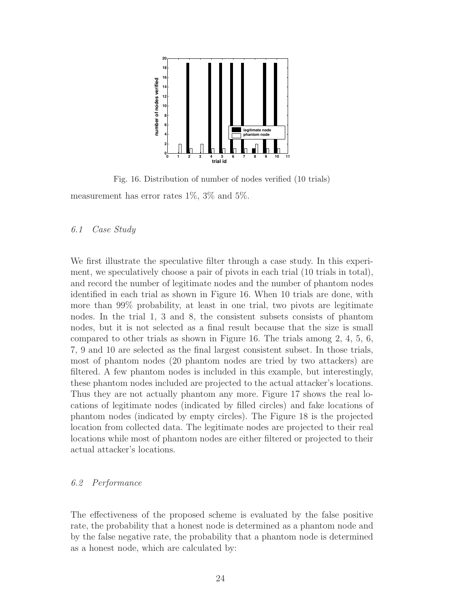

Fig. 16. Distribution of number of nodes verified (10 trials) measurement has error rates 1%, 3% and 5%.

## 6.1 Case Study

We first illustrate the speculative filter through a case study. In this experiment, we speculatively choose a pair of pivots in each trial (10 trials in total), and record the number of legitimate nodes and the number of phantom nodes identified in each trial as shown in Figure 16. When 10 trials are done, with more than 99% probability, at least in one trial, two pivots are legitimate nodes. In the trial 1, 3 and 8, the consistent subsets consists of phantom nodes, but it is not selected as a final result because that the size is small compared to other trials as shown in Figure 16. The trials among 2, 4, 5, 6, 7, 9 and 10 are selected as the final largest consistent subset. In those trials, most of phantom nodes (20 phantom nodes are tried by two attackers) are filtered. A few phantom nodes is included in this example, but interestingly, these phantom nodes included are projected to the actual attacker's locations. Thus they are not actually phantom any more. Figure 17 shows the real locations of legitimate nodes (indicated by filled circles) and fake locations of phantom nodes (indicated by empty circles). The Figure 18 is the projected location from collected data. The legitimate nodes are projected to their real locations while most of phantom nodes are either filtered or projected to their actual attacker's locations.

# 6.2 Performance

The effectiveness of the proposed scheme is evaluated by the false positive rate, the probability that a honest node is determined as a phantom node and by the false negative rate, the probability that a phantom node is determined as a honest node, which are calculated by: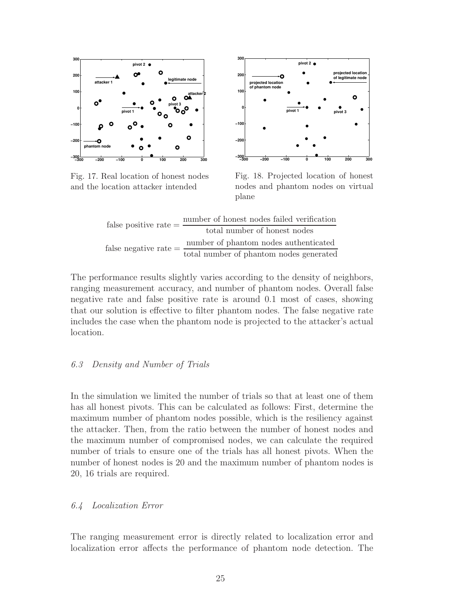

Fig. 17. Real location of honest nodes and the location attacker intended



Fig. 18. Projected location of honest nodes and phantom nodes on virtual plane

| false positive rate $=$ $=$ | number of honest nodes failed verification |  |
|-----------------------------|--------------------------------------------|--|
|                             | total number of honest nodes               |  |
| false negative rate $=$ $-$ | number of phantom nodes authenticated      |  |
|                             | total number of phantom nodes generated    |  |

The performance results slightly varies according to the density of neighbors, ranging measurement accuracy, and number of phantom nodes. Overall false negative rate and false positive rate is around 0.1 most of cases, showing that our solution is effective to filter phantom nodes. The false negative rate includes the case when the phantom node is projected to the attacker's actual location.

# 6.3 Density and Number of Trials

In the simulation we limited the number of trials so that at least one of them has all honest pivots. This can be calculated as follows: First, determine the maximum number of phantom nodes possible, which is the resiliency against the attacker. Then, from the ratio between the number of honest nodes and the maximum number of compromised nodes, we can calculate the required number of trials to ensure one of the trials has all honest pivots. When the number of honest nodes is 20 and the maximum number of phantom nodes is 20, 16 trials are required.

## 6.4 Localization Error

The ranging measurement error is directly related to localization error and localization error affects the performance of phantom node detection. The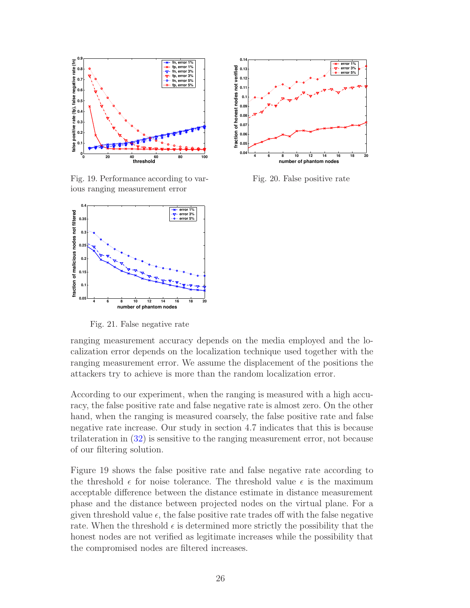

Fig. 19. Performance according to various ranging measurement error



Fig. 21. False negative rate

ranging measurement accuracy depends on the media employed and the localization error depends on the localization technique used together with the ranging measurement error. We assume the displacement of the positions the attackers try to achieve is more than the random localization error.

According to our experiment, when the ranging is measured with a high accuracy, the false positive rate and false negative rate is almost zero. On the other hand, when the ranging is measured coarsely, the false positive rate and false negative rate increase. Our study in section 4.7 indicates that this is because trilateration in [\(32](#page-31-8)) is sensitive to the ranging measurement error, not because of our filtering solution.

Figure 19 shows the false positive rate and false negative rate according to the threshold  $\epsilon$  for noise tolerance. The threshold value  $\epsilon$  is the maximum acceptable difference between the distance estimate in distance measurement phase and the distance between projected nodes on the virtual plane. For a given threshold value  $\epsilon$ , the false positive rate trades off with the false negative rate. When the threshold  $\epsilon$  is determined more strictly the possibility that the honest nodes are not verified as legitimate increases while the possibility that the compromised nodes are filtered increases.



Fig. 20. False positive rate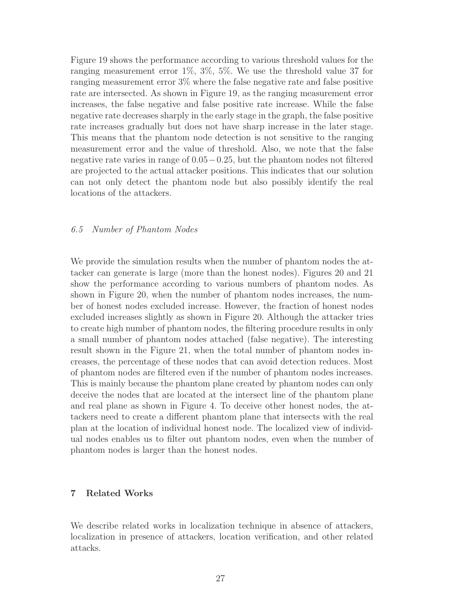Figure 19 shows the performance according to various threshold values for the ranging measurement error  $1\%, 3\%, 5\%$ . We use the threshold value 37 for ranging measurement error 3% where the false negative rate and false positive rate are intersected. As shown in Figure 19, as the ranging measurement error increases, the false negative and false positive rate increase. While the false negative rate decreases sharply in the early stage in the graph, the false positive rate increases gradually but does not have sharp increase in the later stage. This means that the phantom node detection is not sensitive to the ranging measurement error and the value of threshold. Also, we note that the false negative rate varies in range of 0.05−0.25, but the phantom nodes not filtered are projected to the actual attacker positions. This indicates that our solution can not only detect the phantom node but also possibly identify the real locations of the attackers.

#### 6.5 Number of Phantom Nodes

We provide the simulation results when the number of phantom nodes the attacker can generate is large (more than the honest nodes). Figures 20 and 21 show the performance according to various numbers of phantom nodes. As shown in Figure 20, when the number of phantom nodes increases, the number of honest nodes excluded increase. However, the fraction of honest nodes excluded increases slightly as shown in Figure 20. Although the attacker tries to create high number of phantom nodes, the filtering procedure results in only a small number of phantom nodes attached (false negative). The interesting result shown in the Figure 21, when the total number of phantom nodes increases, the percentage of these nodes that can avoid detection reduces. Most of phantom nodes are filtered even if the number of phantom nodes increases. This is mainly because the phantom plane created by phantom nodes can only deceive the nodes that are located at the intersect line of the phantom plane and real plane as shown in Figure 4. To deceive other honest nodes, the attackers need to create a different phantom plane that intersects with the real plan at the location of individual honest node. The localized view of individual nodes enables us to filter out phantom nodes, even when the number of phantom nodes is larger than the honest nodes.

# 7 Related Works

We describe related works in localization technique in absence of attackers, localization in presence of attackers, location verification, and other related attacks.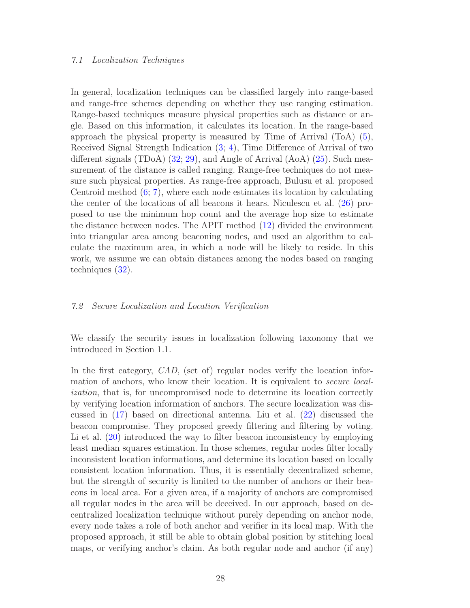#### 7.1 Localization Techniques

In general, localization techniques can be classified largely into range-based and range-free schemes depending on whether they use ranging estimation. Range-based techniques measure physical properties such as distance or angle. Based on this information, it calculates its location. In the range-based approach the physical property is measured by Time of Arrival (ToA) [\(5\)](#page-29-4), Received Signal Strength Indication [\(3;](#page-29-2) [4\)](#page-29-3), Time Difference of Arrival of two different signals (TDoA) [\(32](#page-31-8); [29](#page-31-11)), and Angle of Arrival (AoA) [\(25](#page-30-14)). Such measurement of the distance is called ranging. Range-free techniques do not measure such physical properties. As range-free approach, Bulusu et al. proposed Centroid method [\(6;](#page-29-5) [7](#page-30-15)), where each node estimates its location by calculating the center of the locations of all beacons it hears. Niculescu et al. [\(26](#page-30-16)) proposed to use the minimum hop count and the average hop size to estimate the distance between nodes. The APIT method [\(12\)](#page-30-5) divided the environment into triangular area among beaconing nodes, and used an algorithm to calculate the maximum area, in which a node will be likely to reside. In this work, we assume we can obtain distances among the nodes based on ranging techniques [\(32](#page-31-8)).

# 7.2 Secure Localization and Location Verification

We classify the security issues in localization following taxonomy that we introduced in Section 1.1.

In the first category, CAD, (set of) regular nodes verify the location information of anchors, who know their location. It is equivalent to *secure local*ization, that is, for uncompromised node to determine its location correctly by verifying location information of anchors. The secure localization was discussed in [\(17](#page-30-7)) based on directional antenna. Liu et al. [\(22](#page-30-10)) discussed the beacon compromise. They proposed greedy filtering and filtering by voting. Li et al. [\(20](#page-30-9)) introduced the way to filter beacon inconsistency by employing least median squares estimation. In those schemes, regular nodes filter locally inconsistent location informations, and determine its location based on locally consistent location information. Thus, it is essentially decentralized scheme, but the strength of security is limited to the number of anchors or their beacons in local area. For a given area, if a majority of anchors are compromised all regular nodes in the area will be deceived. In our approach, based on decentralized localization technique without purely depending on anchor node, every node takes a role of both anchor and verifier in its local map. With the proposed approach, it still be able to obtain global position by stitching local maps, or verifying anchor's claim. As both regular node and anchor (if any)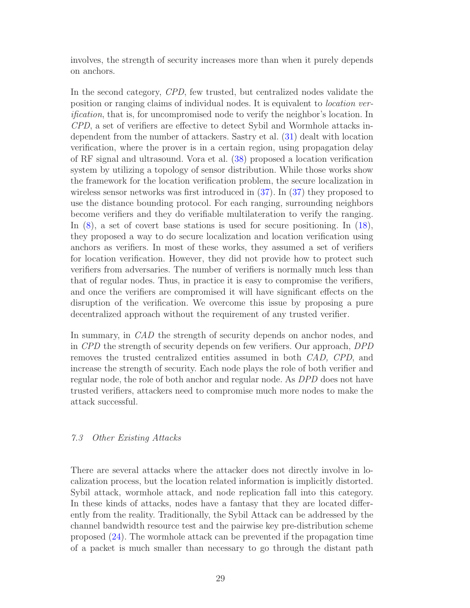involves, the strength of security increases more than when it purely depends on anchors.

In the second category, CPD, few trusted, but centralized nodes validate the position or ranging claims of individual nodes. It is equivalent to location verification, that is, for uncompromised node to verify the neighbor's location. In CPD, a set of verifiers are effective to detect Sybil and Wormhole attacks independent from the number of attackers. Sastry et al. [\(31\)](#page-31-4) dealt with location verification, where the prover is in a certain region, using propagation delay of RF signal and ultrasound. Vora et al. [\(38](#page-31-6)) proposed a location verification system by utilizing a topology of sensor distribution. While those works show the framework for the location verification problem, the secure localization in wireless sensor networks was first introduced in [\(37](#page-31-5)). In [\(37\)](#page-31-5) they proposed to use the distance bounding protocol. For each ranging, surrounding neighbors become verifiers and they do verifiable multilateration to verify the ranging. In [\(8](#page-30-6)), a set of covert base stations is used for secure positioning. In [\(18\)](#page-30-8), they proposed a way to do secure localization and location verification using anchors as verifiers. In most of these works, they assumed a set of verifiers for location verification. However, they did not provide how to protect such verifiers from adversaries. The number of verifiers is normally much less than that of regular nodes. Thus, in practice it is easy to compromise the verifiers, and once the verifiers are compromised it will have significant effects on the disruption of the verification. We overcome this issue by proposing a pure decentralized approach without the requirement of any trusted verifier.

In summary, in CAD the strength of security depends on anchor nodes, and in CPD the strength of security depends on few verifiers. Our approach, DPD removes the trusted centralized entities assumed in both CAD, CPD, and increase the strength of security. Each node plays the role of both verifier and regular node, the role of both anchor and regular node. As DPD does not have trusted verifiers, attackers need to compromise much more nodes to make the attack successful.

# 7.3 Other Existing Attacks

There are several attacks where the attacker does not directly involve in localization process, but the location related information is implicitly distorted. Sybil attack, wormhole attack, and node replication fall into this category. In these kinds of attacks, nodes have a fantasy that they are located differently from the reality. Traditionally, the Sybil Attack can be addressed by the channel bandwidth resource test and the pairwise key pre-distribution scheme proposed [\(24\)](#page-30-17). The wormhole attack can be prevented if the propagation time of a packet is much smaller than necessary to go through the distant path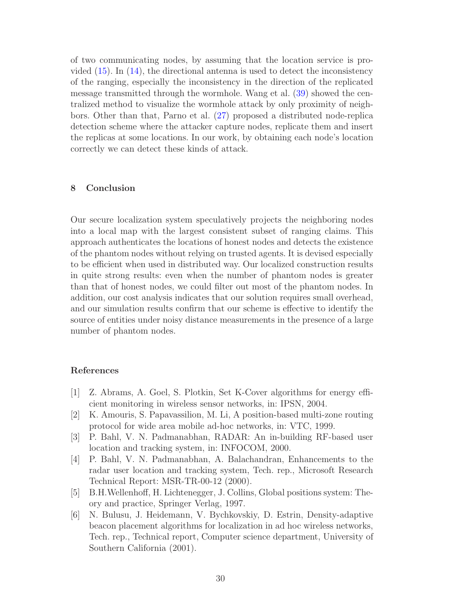of two communicating nodes, by assuming that the location service is provided [\(15](#page-30-18)). In [\(14\)](#page-30-19), the directional antenna is used to detect the inconsistency of the ranging, especially the inconsistency in the direction of the replicated message transmitted through the wormhole. Wang et al. [\(39\)](#page-31-12) showed the centralized method to visualize the wormhole attack by only proximity of neighbors. Other than that, Parno et al. [\(27\)](#page-30-20) proposed a distributed node-replica detection scheme where the attacker capture nodes, replicate them and insert the replicas at some locations. In our work, by obtaining each node's location correctly we can detect these kinds of attack.

## 8 Conclusion

Our secure localization system speculatively projects the neighboring nodes into a local map with the largest consistent subset of ranging claims. This approach authenticates the locations of honest nodes and detects the existence of the phantom nodes without relying on trusted agents. It is devised especially to be efficient when used in distributed way. Our localized construction results in quite strong results: even when the number of phantom nodes is greater than that of honest nodes, we could filter out most of the phantom nodes. In addition, our cost analysis indicates that our solution requires small overhead, and our simulation results confirm that our scheme is effective to identify the source of entities under noisy distance measurements in the presence of a large number of phantom nodes.

## References

- <span id="page-29-1"></span>[1] Z. Abrams, A. Goel, S. Plotkin, Set K-Cover algorithms for energy efficient monitoring in wireless sensor networks, in: IPSN, 2004.
- <span id="page-29-0"></span>[2] K. Amouris, S. Papavassilion, M. Li, A position-based multi-zone routing protocol for wide area mobile ad-hoc networks, in: VTC, 1999.
- <span id="page-29-2"></span>[3] P. Bahl, V. N. Padmanabhan, RADAR: An in-building RF-based user location and tracking system, in: INFOCOM, 2000.
- <span id="page-29-3"></span>[4] P. Bahl, V. N. Padmanabhan, A. Balachandran, Enhancements to the radar user location and tracking system, Tech. rep., Microsoft Research Technical Report: MSR-TR-00-12 (2000).
- <span id="page-29-4"></span>[5] B.H.Wellenhoff, H. Lichtenegger, J. Collins, Global positions system: Theory and practice, Springer Verlag, 1997.
- <span id="page-29-5"></span>[6] N. Bulusu, J. Heidemann, V. Bychkovskiy, D. Estrin, Density-adaptive beacon placement algorithms for localization in ad hoc wireless networks, Tech. rep., Technical report, Computer science department, University of Southern California (2001).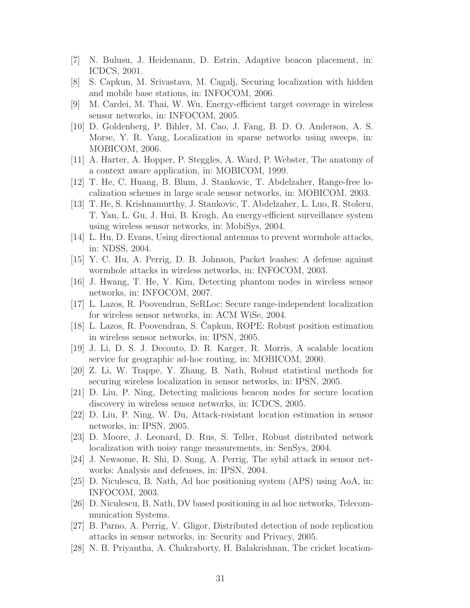- <span id="page-30-15"></span>[7] N. Bulusu, J. Heidemann, D. Estrin, Adaptive beacon placement, in: ICDCS, 2001.
- <span id="page-30-6"></span>[8] S. Capkun, M. Srivastava, M. Cagalj, Securing localization with hidden and mobile base stations, in: INFOCOM, 2006.
- <span id="page-30-2"></span>[9] M. Cardei, M. Thai, W. Wu, Energy-efficient target coverage in wireless sensor networks, in: INFOCOM, 2005.
- <span id="page-30-13"></span>[10] D. Goldenberg, P. Bihler, M. Cao, J. Fang, B. D. O. Anderson, A. S. Morse, Y. R. Yang, Localization in sparse networks using sweeps, in: MOBICOM, 2006.
- <span id="page-30-4"></span>[11] A. Harter, A. Hopper, P. Steggles, A. Ward, P. Webster, The anatomy of a context aware application, in: MOBICOM, 1999.
- <span id="page-30-5"></span>[12] T. He, C. Huang, B. Blum, J. Stankovic, T. Abdelzaher, Range-free localization schemes in large scale sensor networks, in: MOBICOM, 2003.
- <span id="page-30-0"></span>[13] T. He, S. Krishnamurthy, J. Stankovic, T. Abdelzaher, L. Luo, R. Stoleru, T. Yan, L. Gu, J. Hui, B. Krogh, An energy-efficient surveillance system using wireless sensor networks, in: MobiSys, 2004.
- <span id="page-30-19"></span>[14] L. Hu, D. Evans, Using directional antennas to prevent wormhole attacks, in: NDSS, 2004.
- <span id="page-30-18"></span>[15] Y. C. Hu, A. Perrig, D. B. Johnson, Packet leashes: A defense against wormhole attacks in wireless networks, in: INFOCOM, 2003.
- [16] J. Hwang, T. He, Y. Kim, Detecting phantom nodes in wireless sensor networks, in: INFOCOM, 2007.
- <span id="page-30-7"></span>[17] L. Lazos, R. Poovendran, SeRLoc: Secure range-independent localization for wireless sensor networks, in: ACM WiSe, 2004.
- <span id="page-30-8"></span>[18] L. Lazos, R. Poovendran, S. Capkun, ROPE: Robust position estimation in wireless sensor networks, in: IPSN, 2005.
- <span id="page-30-1"></span>[19] J. Li, D. S. J. Decouto, D. R. Karger, R. Morris, A scalable location service for geographic ad-hoc routing, in: MOBICOM, 2000.
- <span id="page-30-9"></span>[20] Z. Li, W. Trappe, Y. Zhang, B. Nath, Robust statistical methods for securing wireless localization in sensor networks, in: IPSN, 2005.
- <span id="page-30-11"></span>[21] D. Liu, P. Ning, Detecting malicious beacon nodes for secure location discovery in wireless sensor networks, in: ICDCS, 2005.
- <span id="page-30-10"></span>[22] D. Liu, P. Ning, W. Du, Attack-resistant location estimation in sensor networks, in: IPSN, 2005.
- <span id="page-30-12"></span>[23] D. Moore, J. Leonard, D. Rus, S. Teller, Robust distributed network localization with noisy range measurements, in: SenSys, 2004.
- <span id="page-30-17"></span>[24] J. Newsome, R. Shi, D. Song, A. Perrig, The sybil attack in sensor networks: Analysis and defenses, in: IPSN, 2004.
- <span id="page-30-14"></span>[25] D. Niculescu, B. Nath, Ad hoc positioning system (APS) using AoA, in: INFOCOM, 2003.
- <span id="page-30-16"></span>[26] D. Niculescu, B. Nath, DV based positioning in ad hoc networks, Telecommunication Systems.
- <span id="page-30-20"></span>[27] B. Parno, A. Perrig, V. Gligor, Distributed detection of node replication attacks in sensor networks, in: Security and Privacy, 2005.
- <span id="page-30-3"></span>[28] N. B. Priyantha, A. Chakraborty, H. Balakrishnan, The cricket location-